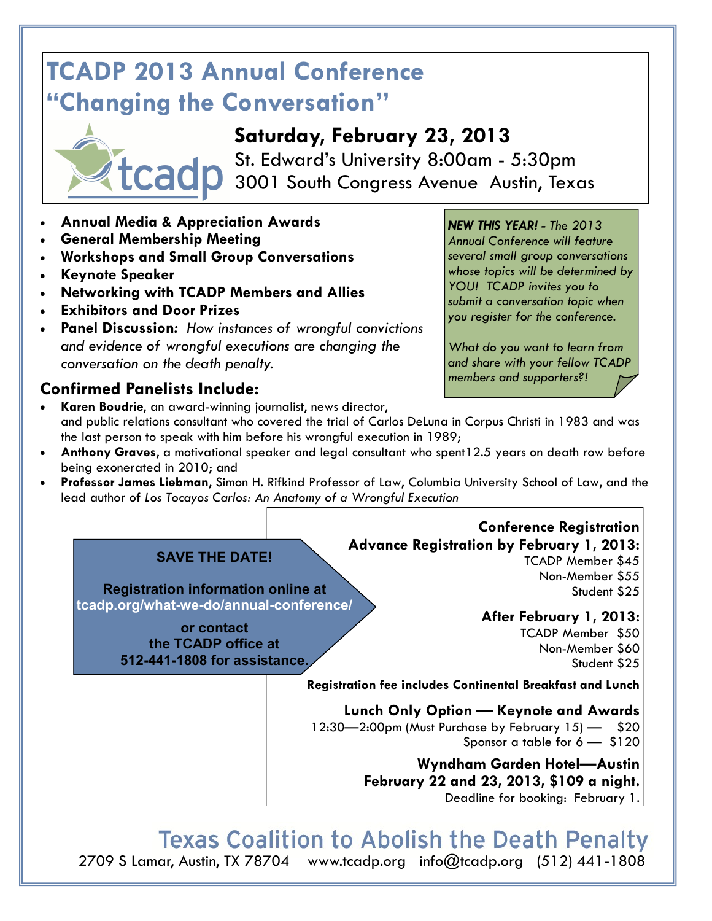# **TCADP 2013 Annual Conference "Changing the Conversation"**



St. Edward's University 8:00am - 5:30pm 3001 South Congress Avenue Austin, Texas

- **Annual Media & Appreciation Awards**
- **General Membership Meeting**
- **Workshops and Small Group Conversations**
- **Keynote Speaker**
- **Networking with TCADP Members and Allies**
- **Exhibitors and Door Prizes**
- **Panel Discussion***: How instances of wrongful convictions and evidence of wrongful executions are changing the conversation on the death penalty.*

# **Confirmed Panelists Include:**

### *NEW THIS YEAR! - The 2013*

*Annual Conference will feature several small group conversations whose topics will be determined by YOU! TCADP invites you to submit a conversation topic when you register for the conference.* 

*What do you want to learn from and share with your fellow TCADP members and supporters?!* 

- **Karen Boudrie**, an award-winning journalist, news director, and public relations consultant who covered the trial of Carlos DeLuna in Corpus Christi in 1983 and was the last person to speak with him before his wrongful execution in 1989;
- **Anthony Graves**, a motivational speaker and legal consultant who spent12.5 years on death row before being exonerated in 2010; and
- **Professor James Liebman**, Simon H. Rifkind Professor of Law, Columbia University School of Law, and the lead author of *Los Tocayos Carlos: An Anatomy of a Wrongful Execution*

#### **Advance Registration by February 1, 2013: SAVE THE DATE!**

**Registration information online at tcadp.org/what-we-do/annual-conference/**

> **or contact the TCADP office at 512-441-1808 for assistance.**

#### TCADP Member \$45 Non-Member \$55 Student \$25

# **After February 1, 2013:**

**Conference Registration**

TCADP Member \$50 Non-Member \$60 Student \$25

**Registration fee includes Continental Breakfast and Lunch**

**Lunch Only Option — Keynote and Awards** 12:30—2:00pm (Must Purchase by February 15) — \$20 Sponsor a table for  $6 - 120$ 

> **Wyndham Garden Hotel—Austin February 22 and 23, 2013, \$109 a night.**  Deadline for booking: February 1.

**Texas Coalition to Abolish the Death Penalty** 

2709 S Lamar, Austin, TX 78704 www.tcadp.org info@tcadp.org (512) 441-1808